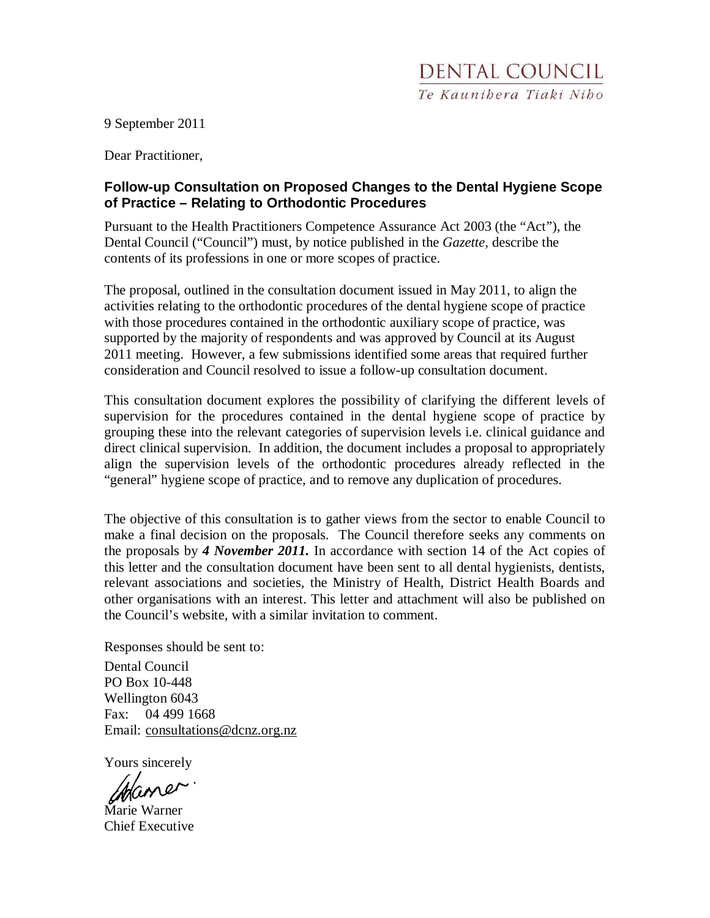9 September 2011

Dear Practitioner,

## **Follow-up Consultation on Proposed Changes to the Dental Hygiene Scope of Practice – Relating to Orthodontic Procedures**

Pursuant to the Health Practitioners Competence Assurance Act 2003 (the "Act"), the Dental Council ("Council") must, by notice published in the *Gazette,* describe the contents of its professions in one or more scopes of practice.

The proposal, outlined in the consultation document issued in May 2011, to align the activities relating to the orthodontic procedures of the dental hygiene scope of practice with those procedures contained in the orthodontic auxiliary scope of practice, was supported by the majority of respondents and was approved by Council at its August 2011 meeting. However, a few submissions identified some areas that required further consideration and Council resolved to issue a follow-up consultation document.

This consultation document explores the possibility of clarifying the different levels of supervision for the procedures contained in the dental hygiene scope of practice by grouping these into the relevant categories of supervision levels i.e. clinical guidance and direct clinical supervision. In addition, the document includes a proposal to appropriately align the supervision levels of the orthodontic procedures already reflected in the "general" hygiene scope of practice, and to remove any duplication of procedures.

The objective of this consultation is to gather views from the sector to enable Council to make a final decision on the proposals. The Council therefore seeks any comments on the proposals by *4 November 2011.* In accordance with section 14 of the Act copies of this letter and the consultation document have been sent to all dental hygienists, dentists, relevant associations and societies, the Ministry of Health, District Health Boards and other organisations with an interest. This letter and attachment will also be published on the Council's website, with a similar invitation to comment.

Responses should be sent to:

Dental Council PO Box 10-448 Wellington 6043 Fax: 04 499 1668 Email: consultations@dcnz.org.nz

Yours sincerely

Marie Warner Chief Executive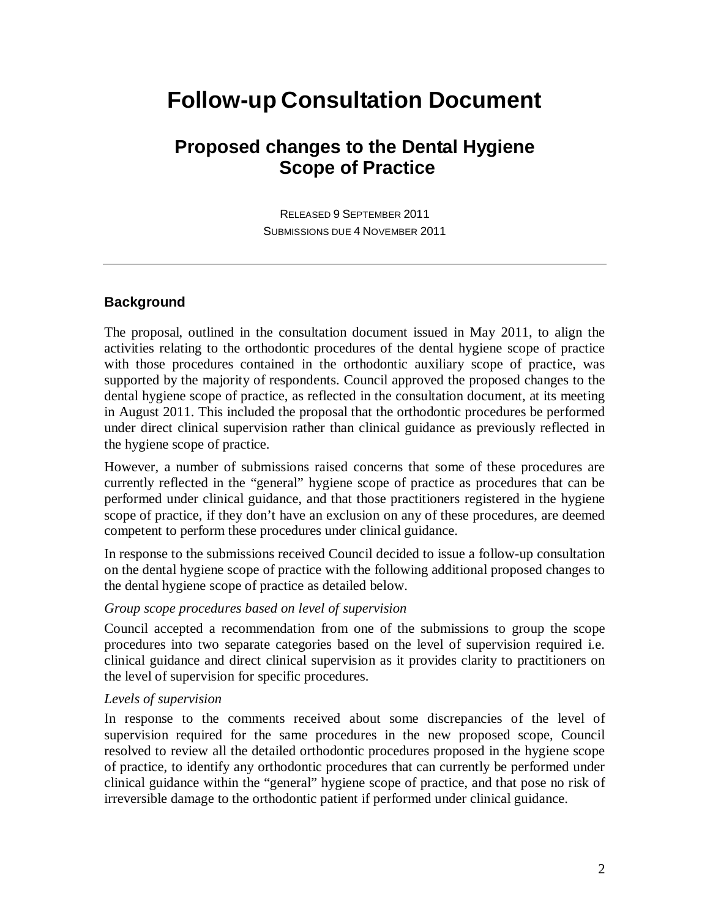# **Follow-up Consultation Document**

# **Proposed changes to the Dental Hygiene Scope of Practice**

RELEASED 9 SEPTEMBER 2011 SUBMISSIONS DUE 4 NOVEMBER 2011

### **Background**

The proposal, outlined in the consultation document issued in May 2011, to align the activities relating to the orthodontic procedures of the dental hygiene scope of practice with those procedures contained in the orthodontic auxiliary scope of practice, was supported by the majority of respondents. Council approved the proposed changes to the dental hygiene scope of practice, as reflected in the consultation document, at its meeting in August 2011. This included the proposal that the orthodontic procedures be performed under direct clinical supervision rather than clinical guidance as previously reflected in the hygiene scope of practice.

However, a number of submissions raised concerns that some of these procedures are currently reflected in the "general" hygiene scope of practice as procedures that can be performed under clinical guidance, and that those practitioners registered in the hygiene scope of practice, if they don't have an exclusion on any of these procedures, are deemed competent to perform these procedures under clinical guidance.

In response to the submissions received Council decided to issue a follow-up consultation on the dental hygiene scope of practice with the following additional proposed changes to the dental hygiene scope of practice as detailed below.

### *Group scope procedures based on level of supervision*

Council accepted a recommendation from one of the submissions to group the scope procedures into two separate categories based on the level of supervision required i.e. clinical guidance and direct clinical supervision as it provides clarity to practitioners on the level of supervision for specific procedures.

#### *Levels of supervision*

In response to the comments received about some discrepancies of the level of supervision required for the same procedures in the new proposed scope, Council resolved to review all the detailed orthodontic procedures proposed in the hygiene scope of practice, to identify any orthodontic procedures that can currently be performed under clinical guidance within the "general" hygiene scope of practice, and that pose no risk of irreversible damage to the orthodontic patient if performed under clinical guidance.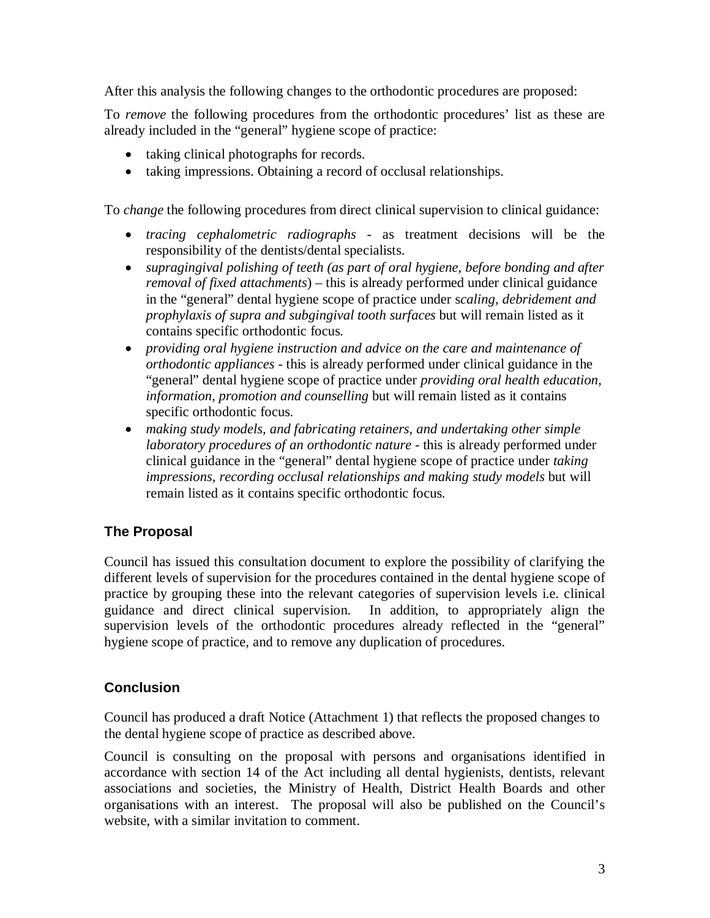After this analysis the following changes to the orthodontic procedures are proposed:

To *remove* the following procedures from the orthodontic procedures' list as these are already included in the "general" hygiene scope of practice:

- taking clinical photographs for records.
- taking impressions. Obtaining a record of occlusal relationships.

To *change* the following procedures from direct clinical supervision to clinical guidance:

- *tracing cephalometric radiographs* as treatment decisions will be the responsibility of the dentists/dental specialists.
- *supragingival polishing of teeth (as part of oral hygiene, before bonding and after removal of fixed attachments*) – this is already performed under clinical guidance in the "general" dental hygiene scope of practice under s*caling, debridement and prophylaxis of supra and subgingival tooth surfaces* but will remain listed as it contains specific orthodontic focus*.*
- *providing oral hygiene instruction and advice on the care and maintenance of orthodontic appliances* - this is already performed under clinical guidance in the "general" dental hygiene scope of practice under *providing oral health education, information, promotion and counselling* but will remain listed as it contains specific orthodontic focus*.*
- *making study models, and fabricating retainers, and undertaking other simple laboratory procedures of an orthodontic nature* - this is already performed under clinical guidance in the "general" dental hygiene scope of practice under *taking impressions, recording occlusal relationships and making study models* but will remain listed as it contains specific orthodontic focus*.*

# **The Proposal**

Council has issued this consultation document to explore the possibility of clarifying the different levels of supervision for the procedures contained in the dental hygiene scope of practice by grouping these into the relevant categories of supervision levels i.e. clinical guidance and direct clinical supervision. In addition, to appropriately align the supervision levels of the orthodontic procedures already reflected in the "general" hygiene scope of practice, and to remove any duplication of procedures.

# **Conclusion**

Council has produced a draft Notice (Attachment 1) that reflects the proposed changes to the dental hygiene scope of practice as described above.

Council is consulting on the proposal with persons and organisations identified in accordance with section 14 of the Act including all dental hygienists, dentists, relevant associations and societies, the Ministry of Health, District Health Boards and other organisations with an interest. The proposal will also be published on the Council's website, with a similar invitation to comment.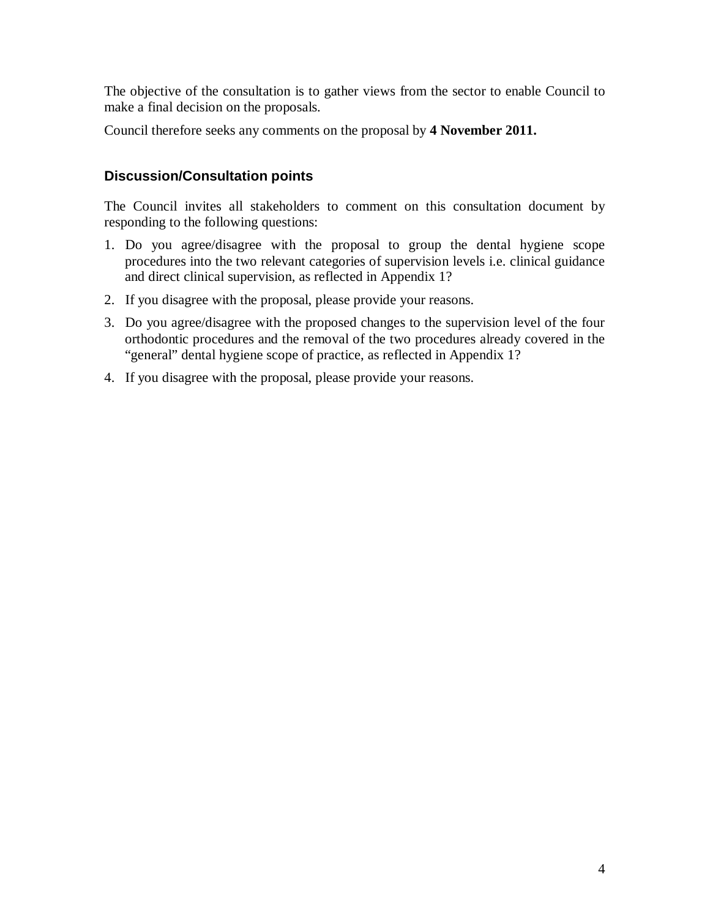The objective of the consultation is to gather views from the sector to enable Council to make a final decision on the proposals.

Council therefore seeks any comments on the proposal by **4 November 2011.**

# **Discussion/Consultation points**

The Council invites all stakeholders to comment on this consultation document by responding to the following questions:

- 1. Do you agree/disagree with the proposal to group the dental hygiene scope procedures into the two relevant categories of supervision levels i.e. clinical guidance and direct clinical supervision, as reflected in Appendix 1?
- 2. If you disagree with the proposal, please provide your reasons.
- 3. Do you agree/disagree with the proposed changes to the supervision level of the four orthodontic procedures and the removal of the two procedures already covered in the "general" dental hygiene scope of practice, as reflected in Appendix 1?
- 4. If you disagree with the proposal, please provide your reasons.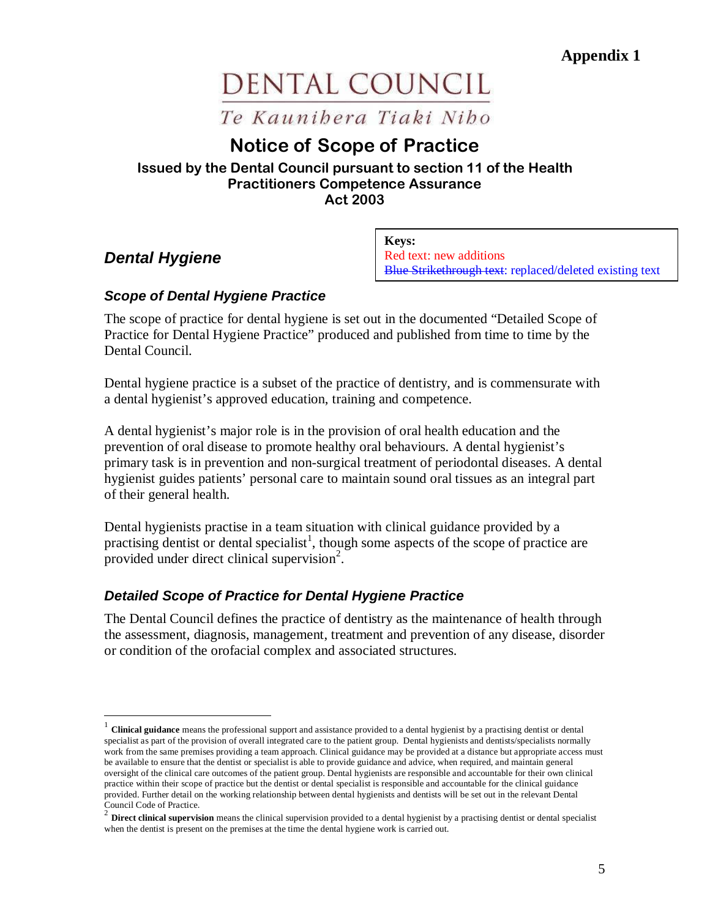**Appendix 1** 

# DENTAL COUNCIL

Te Kaunibera Tiaki Nibo

# Notice of Scope of Practice

## Issued by the Dental Council pursuant to section 11 of the Health Practitioners Competence Assurance Act 2003

# **Dental Hygiene**

<u>.</u>

**Keys:** Red text: new additions Blue Strikethrough text: replaced/deleted existing text

# **Scope of Dental Hygiene Practice**

The scope of practice for dental hygiene is set out in the documented "Detailed Scope of Practice for Dental Hygiene Practice" produced and published from time to time by the Dental Council.

Dental hygiene practice is a subset of the practice of dentistry, and is commensurate with a dental hygienist's approved education, training and competence.

A dental hygienist's major role is in the provision of oral health education and the prevention of oral disease to promote healthy oral behaviours. A dental hygienist's primary task is in prevention and non-surgical treatment of periodontal diseases. A dental hygienist guides patients' personal care to maintain sound oral tissues as an integral part of their general health.

Dental hygienists practise in a team situation with clinical guidance provided by a practising dentist or dental specialist<sup>1</sup>, though some aspects of the scope of practice are provided under direct clinical supervision<sup>2</sup>.

# **Detailed Scope of Practice for Dental Hygiene Practice**

The Dental Council defines the practice of dentistry as the maintenance of health through the assessment, diagnosis, management, treatment and prevention of any disease, disorder or condition of the orofacial complex and associated structures.

<sup>&</sup>lt;sup>1</sup> Clinical guidance means the professional support and assistance provided to a dental hygienist by a practising dentist or dental specialist as part of the provision of overall integrated care to the patient group. Dental hygienists and dentists/specialists normally work from the same premises providing a team approach. Clinical guidance may be provided at a distance but appropriate access must be available to ensure that the dentist or specialist is able to provide guidance and advice, when required, and maintain general oversight of the clinical care outcomes of the patient group. Dental hygienists are responsible and accountable for their own clinical practice within their scope of practice but the dentist or dental specialist is responsible and accountable for the clinical guidance provided. Further detail on the working relationship between dental hygienists and dentists will be set out in the relevant Dental Council Code of Practice.

<sup>&</sup>lt;sup>2</sup> Direct clinical supervision means the clinical supervision provided to a dental hygienist by a practising dentist or dental specialist when the dentist is present on the premises at the time the dental hygiene work is carried out.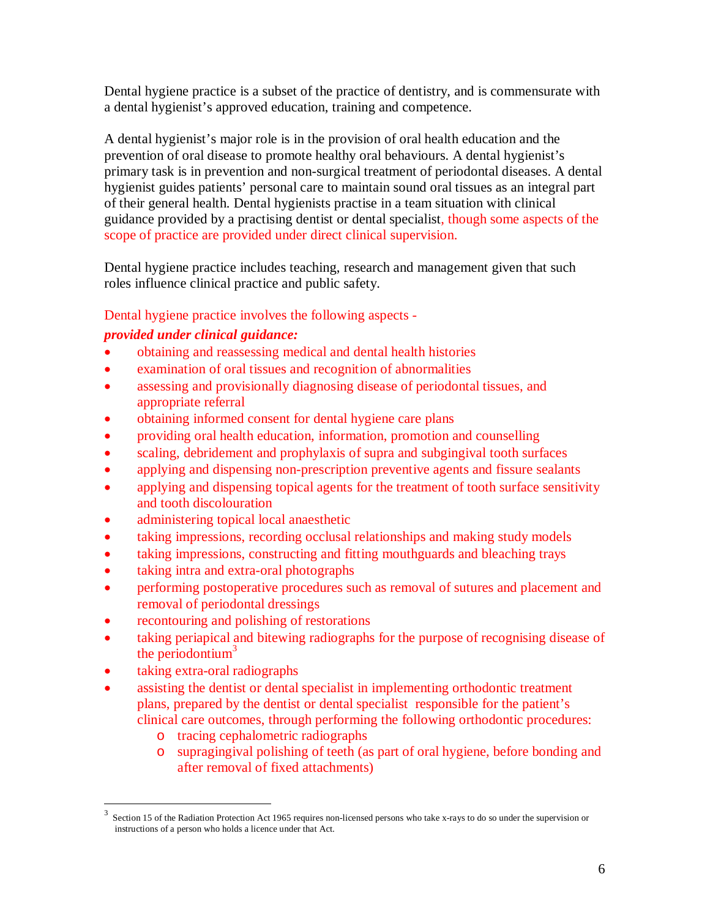Dental hygiene practice is a subset of the practice of dentistry, and is commensurate with a dental hygienist's approved education, training and competence.

A dental hygienist's major role is in the provision of oral health education and the prevention of oral disease to promote healthy oral behaviours. A dental hygienist's primary task is in prevention and non-surgical treatment of periodontal diseases. A dental hygienist guides patients' personal care to maintain sound oral tissues as an integral part of their general health. Dental hygienists practise in a team situation with clinical guidance provided by a practising dentist or dental specialist, though some aspects of the scope of practice are provided under direct clinical supervision.

Dental hygiene practice includes teaching, research and management given that such roles influence clinical practice and public safety.

Dental hygiene practice involves the following aspects -

# *provided under clinical guidance:*

- obtaining and reassessing medical and dental health histories
- examination of oral tissues and recognition of abnormalities
- assessing and provisionally diagnosing disease of periodontal tissues, and appropriate referral
- obtaining informed consent for dental hygiene care plans
- providing oral health education, information, promotion and counselling
- scaling, debridement and prophylaxis of supra and subgingival tooth surfaces
- applying and dispensing non-prescription preventive agents and fissure sealants
- applying and dispensing topical agents for the treatment of tooth surface sensitivity and tooth discolouration
- administering topical local anaesthetic
- taking impressions, recording occlusal relationships and making study models
- taking impressions, constructing and fitting mouthguards and bleaching trays
- taking intra and extra-oral photographs
- performing postoperative procedures such as removal of sutures and placement and removal of periodontal dressings
- recontouring and polishing of restorations
- taking periapical and bitewing radiographs for the purpose of recognising disease of the periodontium $3$
- taking extra-oral radiographs

<u>.</u>

- assisting the dentist or dental specialist in implementing orthodontic treatment plans, prepared by the dentist or dental specialist responsible for the patient's clinical care outcomes, through performing the following orthodontic procedures:
	- o tracing cephalometric radiographs
	- o supragingival polishing of teeth (as part of oral hygiene, before bonding and after removal of fixed attachments)

<sup>3</sup> Section 15 of the Radiation Protection Act 1965 requires non-licensed persons who take x-rays to do so under the supervision or instructions of a person who holds a licence under that Act.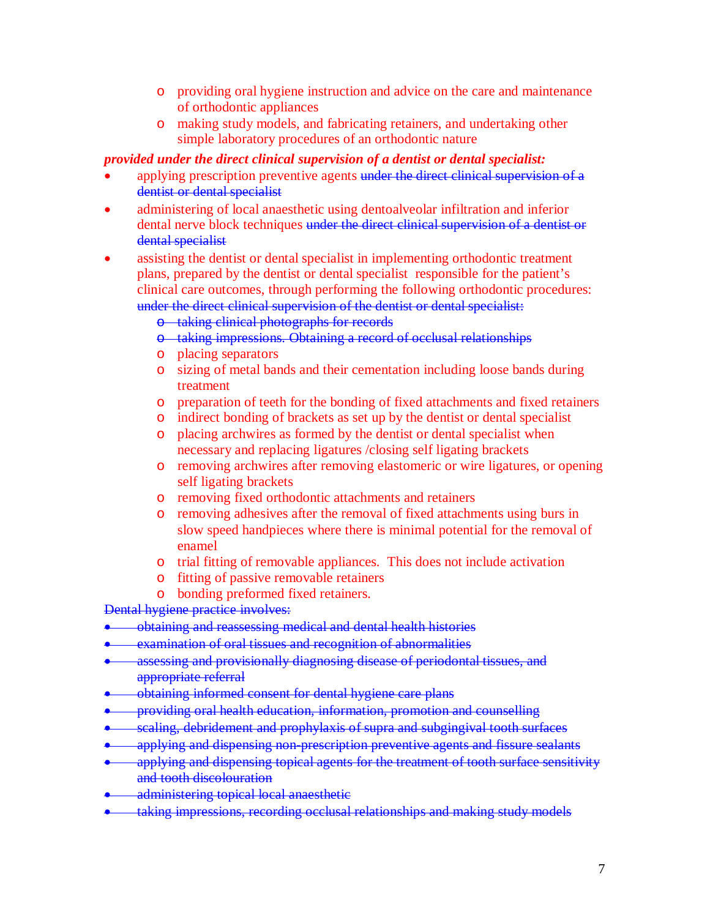- o providing oral hygiene instruction and advice on the care and maintenance of orthodontic appliances
- o making study models, and fabricating retainers, and undertaking other simple laboratory procedures of an orthodontic nature

## *provided under the direct clinical supervision of a dentist or dental specialist:*

- applying prescription preventive agents under the direct clinical supervision of a dentist or dental specialist
- administering of local anaesthetic using dentoalveolar infiltration and inferior dental nerve block techniques under the direct clinical supervision of a dentist or dental specialist
- assisting the dentist or dental specialist in implementing orthodontic treatment plans, prepared by the dentist or dental specialist responsible for the patient's clinical care outcomes, through performing the following orthodontic procedures: under the direct clinical supervision of the dentist or dental specialist:
	- o taking clinical photographs for records
	- o taking impressions. Obtaining a record of occlusal relationships
	- o placing separators
	- o sizing of metal bands and their cementation including loose bands during treatment
	- o preparation of teeth for the bonding of fixed attachments and fixed retainers
	- o indirect bonding of brackets as set up by the dentist or dental specialist
	- o placing archwires as formed by the dentist or dental specialist when necessary and replacing ligatures /closing self ligating brackets
	- o removing archwires after removing elastomeric or wire ligatures, or opening self ligating brackets
	- o removing fixed orthodontic attachments and retainers
	- o removing adhesives after the removal of fixed attachments using burs in slow speed handpieces where there is minimal potential for the removal of enamel
	- o trial fitting of removable appliances. This does not include activation
	- o fitting of passive removable retainers
	- o bonding preformed fixed retainers.

Dental hygiene practice involves:

- obtaining and reassessing medical and dental health histories
- examination of oral tissues and recognition of abnormalities
- assessing and provisionally diagnosing disease of periodontal tissues, and appropriate referral
- obtaining informed consent for dental hygiene care plans
- providing oral health education, information, promotion and counselling
- scaling, debridement and prophylaxis of supra and subgingival tooth surfaces
- applying and dispensing non-prescription preventive agents and fissure sealants
- applying and dispensing topical agents for the treatment of tooth surface sensitivity and tooth discolouration
- administering topical local anaesthetic
- taking impressions, recording occlusal relationships and making study models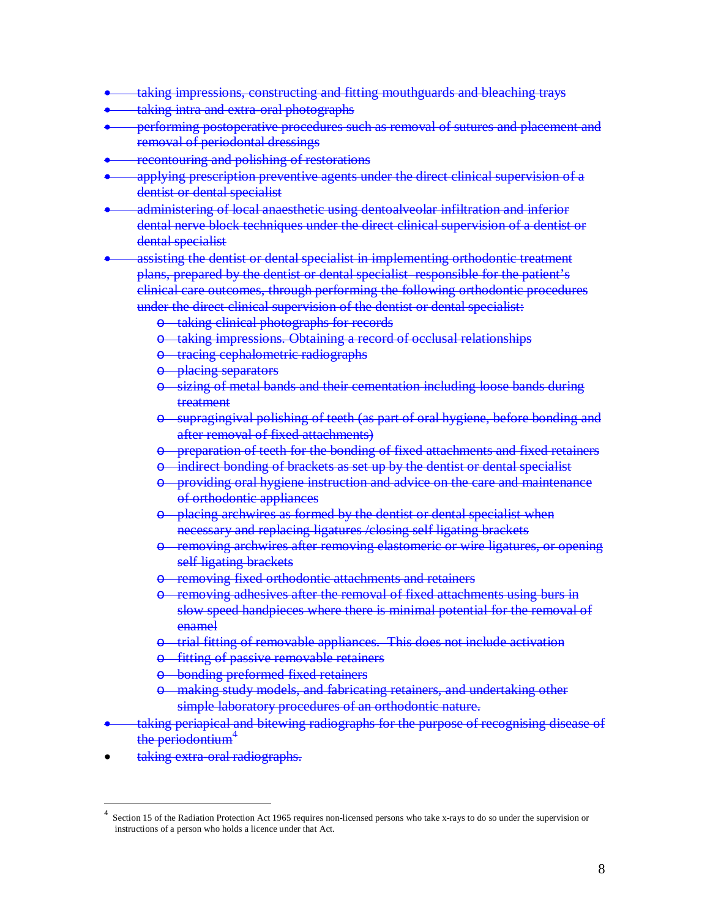- taking impressions, constructing and fitting mouthguards and bleaching trays
- taking intra and extra-oral photographs
- performing postoperative procedures such as removal of sutures and placement and removal of periodontal dressings
- recontouring and polishing of restorations
- applying prescription preventive agents under the direct clinical supervision of a dentist or dental specialist
- administering of local anaesthetic using dentoalveolar infiltration and inferior dental nerve block techniques under the direct clinical supervision of a dentist or dental specialist
- assisting the dentist or dental specialist in implementing orthodontic treatment plans, prepared by the dentist or dental specialist responsible for the patient's clinical care outcomes, through performing the following orthodontic procedures under the direct clinical supervision of the dentist or dental specialist:
	- o taking clinical photographs for records
	- o taking impressions. Obtaining a record of occlusal relationships
	- o tracing cephalometric radiographs
	- o placing separators
	- sizing of metal bands and their cementation including loose bands during treatment
	- o supragingival polishing of teeth (as part of oral hygiene, before bonding and after removal of fixed attachments)
	- **preparation of teeth for the bonding of fixed attachments and fixed retainers**
	- o indirect bonding of brackets as set up by the dentist or dental specialist
	- o providing oral hygiene instruction and advice on the care and maintenance of orthodontic appliances
	- o placing archwires as formed by the dentist or dental specialist when necessary and replacing ligatures /closing self ligating brackets
	- removing archwires after removing elastomeric or wire ligatures, or opening self ligating brackets
	- -removing fixed orthodontic attachments and retainers
	- removing adhesives after the removal of fixed attachments using burs in slow speed handpieces where there is minimal potential for the removal of enamel
	- trial fitting of removable appliances. This does not include activation
	- fitting of passive removable retainers
	- o bonding preformed fixed retainers
	- o making study models, and fabricating retainers, and undertaking other simple laboratory procedures of an orthodontic nature.
- taking periapical and bitewing radiographs for the purpose of recognising disease of the periodontium<sup>4</sup>
- taking extra-oral radiographs.

<u>.</u>

<sup>4</sup> Section 15 of the Radiation Protection Act 1965 requires non-licensed persons who take x-rays to do so under the supervision or instructions of a person who holds a licence under that Act.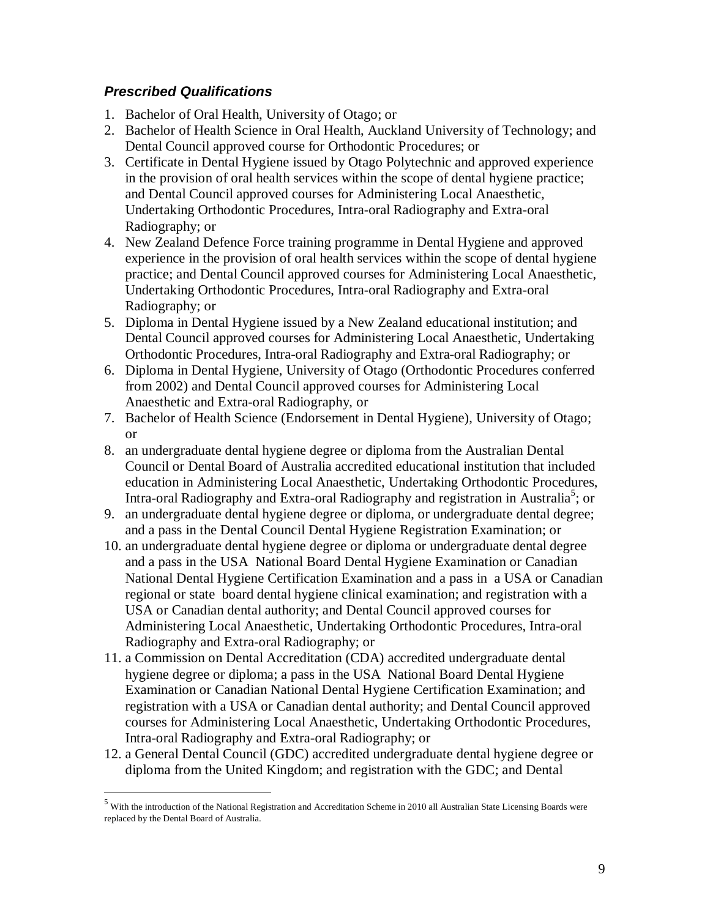# **Prescribed Qualifications**

<u>.</u>

- 1. Bachelor of Oral Health, University of Otago; or
- 2. Bachelor of Health Science in Oral Health, Auckland University of Technology; and Dental Council approved course for Orthodontic Procedures; or
- 3. Certificate in Dental Hygiene issued by Otago Polytechnic and approved experience in the provision of oral health services within the scope of dental hygiene practice; and Dental Council approved courses for Administering Local Anaesthetic, Undertaking Orthodontic Procedures, Intra-oral Radiography and Extra-oral Radiography; or
- 4. New Zealand Defence Force training programme in Dental Hygiene and approved experience in the provision of oral health services within the scope of dental hygiene practice; and Dental Council approved courses for Administering Local Anaesthetic, Undertaking Orthodontic Procedures, Intra-oral Radiography and Extra-oral Radiography; or
- 5. Diploma in Dental Hygiene issued by a New Zealand educational institution; and Dental Council approved courses for Administering Local Anaesthetic, Undertaking Orthodontic Procedures, Intra-oral Radiography and Extra-oral Radiography; or
- 6. Diploma in Dental Hygiene, University of Otago (Orthodontic Procedures conferred from 2002) and Dental Council approved courses for Administering Local Anaesthetic and Extra-oral Radiography, or
- 7. Bachelor of Health Science (Endorsement in Dental Hygiene), University of Otago; or
- 8. an undergraduate dental hygiene degree or diploma from the Australian Dental Council or Dental Board of Australia accredited educational institution that included education in Administering Local Anaesthetic, Undertaking Orthodontic Procedures, Intra-oral Radiography and Extra-oral Radiography and registration in Australia<sup>5</sup>; or
- 9. an undergraduate dental hygiene degree or diploma, or undergraduate dental degree; and a pass in the Dental Council Dental Hygiene Registration Examination; or
- 10. an undergraduate dental hygiene degree or diploma or undergraduate dental degree and a pass in the USA National Board Dental Hygiene Examination or Canadian National Dental Hygiene Certification Examination and a pass in a USA or Canadian regional or state board dental hygiene clinical examination; and registration with a USA or Canadian dental authority; and Dental Council approved courses for Administering Local Anaesthetic, Undertaking Orthodontic Procedures, Intra-oral Radiography and Extra-oral Radiography; or
- 11. a Commission on Dental Accreditation (CDA) accredited undergraduate dental hygiene degree or diploma; a pass in the USA National Board Dental Hygiene Examination or Canadian National Dental Hygiene Certification Examination; and registration with a USA or Canadian dental authority; and Dental Council approved courses for Administering Local Anaesthetic, Undertaking Orthodontic Procedures, Intra-oral Radiography and Extra-oral Radiography; or
- 12. a General Dental Council (GDC) accredited undergraduate dental hygiene degree or diploma from the United Kingdom; and registration with the GDC; and Dental

<sup>&</sup>lt;sup>5</sup> With the introduction of the National Registration and Accreditation Scheme in 2010 all Australian State Licensing Boards were replaced by the Dental Board of Australia.